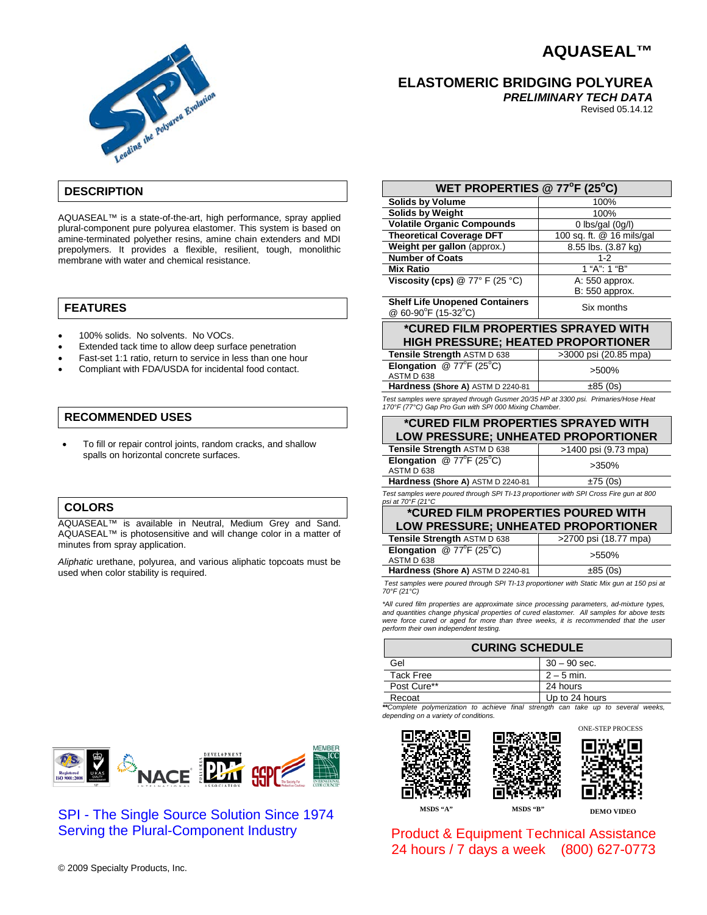# **AQUASEAL™**



**ELASTOMERIC BRIDGING POLYUREA**

*PRELIMINARY TECH DATA*

Revised 05.14.12

# **DESCRIPTION**

AQUASEAL™ is a state-of-the-art, high performance, spray applied plural-component pure polyurea elastomer. This system is based on amine-terminated polyether resins, amine chain extenders and MDI prepolymers. It provides a flexible, resilient, tough, monolithic membrane with water and chemical resistance.

#### **FEATURES**

- 100% solids. No solvents. No VOCs.
- Extended tack time to allow deep surface penetration
- Fast-set 1:1 ratio, return to service in less than one hour
- Compliant with FDA/USDA for incidental food contact.

#### **RECOMMENDED USES**

• To fill or repair control joints, random cracks, and shallow spalls on horizontal concrete surfaces.

#### **COLORS**

AQUASEAL™ is available in Neutral, Medium Grey and Sand. AQUASEAL™ is photosensitive and will change color in a matter of minutes from spray application.

*Aliphatic* urethane, polyurea, and various aliphatic topcoats must be used when color stability is required.

| WET PROPERTIES @ $77^{\circ}$ F (25°C)                                                                                                      |                           |  |
|---------------------------------------------------------------------------------------------------------------------------------------------|---------------------------|--|
| <b>Solids by Volume</b>                                                                                                                     | 100%                      |  |
| <b>Solids by Weight</b>                                                                                                                     | 100%                      |  |
| <b>Volatile Organic Compounds</b>                                                                                                           | 0 lbs/gal $(0g/l)$        |  |
| <b>Theoretical Coverage DFT</b>                                                                                                             | 100 sq. ft. @ 16 mils/gal |  |
| Weight per gallon (approx.)                                                                                                                 | 8.55 lbs. (3.87 kg)       |  |
| <b>Number of Coats</b>                                                                                                                      | $1 - 2$                   |  |
| <b>Mix Ratio</b>                                                                                                                            | 1 "A": 1 "B"              |  |
| Viscosity (cps) $@ 77° F (25 °C)$                                                                                                           | A: 550 approx.            |  |
|                                                                                                                                             | B: 550 approx.            |  |
| <b>Shelf Life Unopened Containers</b><br>@ 60-90°F (15-32°C)                                                                                | Six months                |  |
| *CURED FILM PROPERTIES SPRAYED WITH                                                                                                         |                           |  |
| <b>HIGH PRESSURE; HEATED PROPORTIONER</b>                                                                                                   |                           |  |
| Tensile Strength ASTM D 638                                                                                                                 | >3000 psi (20.85 mpa)     |  |
| <b>Elongation</b> @ $77^{\circ}F(25^{\circ}C)$<br>ASTM D 638                                                                                | >500%                     |  |
| Hardness (Shore A) ASTM D 2240-81                                                                                                           | $\pm 85(0s)$              |  |
| Test samples were sprayed through Gusmer 20/35 HP at 3300 psi. Primaries/Hose Heat<br>170°F (77°C) Gap Pro Gun with SPI 000 Mixing Chamber. |                           |  |
|                                                                                                                                             |                           |  |

| <i>*</i> CURED FILM PROPERTIES SPRAYED WITH<br>LOW PRESSURE; UNHEATED PROPORTIONER     |                      |  |
|----------------------------------------------------------------------------------------|----------------------|--|
| Tensile Strength ASTM D 638                                                            | >1400 psi (9.73 mpa) |  |
| Elongation $@ 77^{\circ}F (25^{\circ}C)$<br>ASTM D 638                                 | $>350\%$             |  |
| Hardness (Shore A) ASTM D 2240-81                                                      | ±75(0s)              |  |
| Test samples were poured through SPI TI-13 proportioner with SPI Cross Fire gun at 800 |                      |  |

#### *psi at 70°F (21°C* **\*CURED FILM PROPERTIES POURED WITH**

# **LOW PRESSURE; UNHEATED PROPORTIONER**

| Tensile Strength ASTM D 638                                       | >2700 psi (18.77 mpa) |
|-------------------------------------------------------------------|-----------------------|
| <b>Elongation</b> @ $77^{\circ}F$ (25 $^{\circ}C$ )<br>ASTM D 638 | >550%                 |
| Hardness (Shore A) ASTM D 2240-81                                 | ±85(0s)               |

*Test samples were poured through SPI TI-13 proportioner with Static Mix gun at 150 psi at 70°F (21°C)*

*\*All cured film properties are approximate since processing parameters, ad-mixture types, and quantities change physical properties of cured elastomer. All samples for above tests*  were force cured or aged for more than three weeks, it is recommended that the user *perform their own independent testing.*

| <b>CURING SCHEDULE</b>                                                            |                |
|-----------------------------------------------------------------------------------|----------------|
| Gel                                                                               | $30 - 90$ sec. |
| <b>Tack Free</b>                                                                  | $2 - 5$ min.   |
| Post Cure**                                                                       | 24 hours       |
| Recoat                                                                            | Up to 24 hours |
| **Complete polymerization to achieve final strength can take up to several weeks, |                |

*depending on a variety of conditions.*



## SPI - The Single Source Solution Since 1974 Serving the Plural-Component Industry





**MSDS "A" MSDS "B" DEMO VIDEO**

Product & Equipment Technical Assistance 24 hours / 7 days a week (800) 627-0773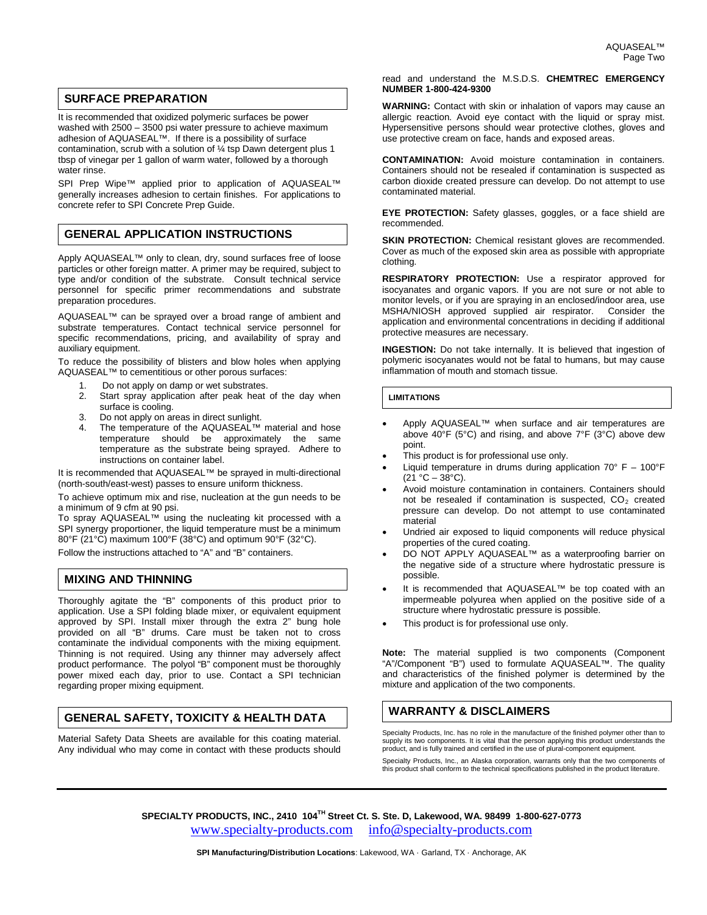#### **SURFACE PREPARATION**

It is recommended that oxidized polymeric surfaces be power washed with 2500 – 3500 psi water pressure to achieve maximum adhesion of AQUASEAL™. If there is a possibility of surface contamination, scrub with a solution of ¼ tsp Dawn detergent plus 1 tbsp of vinegar per 1 gallon of warm water, followed by a thorough water rinse.

SPI Prep Wipe™ applied prior to application of AQUASEAL™ generally increases adhesion to certain finishes. For applications to concrete refer to SPI Concrete Prep Guide.

#### **GENERAL APPLICATION INSTRUCTIONS**

Apply AQUASEAL<sup>™</sup> only to clean, dry, sound surfaces free of loose particles or other foreign matter. A primer may be required, subject to type and/or condition of the substrate. Consult technical service personnel for specific primer recommendations and substrate preparation procedures.

AQUASEAL™ can be sprayed over a broad range of ambient and substrate temperatures. Contact technical service personnel for specific recommendations, pricing, and availability of spray and auxiliary equipment.

To reduce the possibility of blisters and blow holes when applying AQUASEAL™ to cementitious or other porous surfaces:

- 1. Do not apply on damp or wet substrates.
- 2. Start spray application after peak heat of the day when surface is cooling.
- 3. Do not apply on areas in direct sunlight.
- 4. The temperature of the AQUASEAL™ material and hose temperature should be approximately the same temperature as the substrate being sprayed. Adhere to instructions on container label.

It is recommended that AQUASEAL™ be sprayed in multi-directional (north-south/east-west) passes to ensure uniform thickness.

To achieve optimum mix and rise, nucleation at the gun needs to be a minimum of 9 cfm at 90 psi.

To spray AQUASEAL™ using the nucleating kit processed with a SPI synergy proportioner, the liquid temperature must be a minimum 80°F (21°C) maximum 100°F (38°C) and optimum 90°F (32°C).

Follow the instructions attached to "A" and "B" containers.

#### **MIXING AND THINNING**

Thoroughly agitate the "B" components of this product prior to application. Use a SPI folding blade mixer, or equivalent equipment approved by SPI. Install mixer through the extra 2" bung hole provided on all "B" drums. Care must be taken not to cross contaminate the individual components with the mixing equipment. Thinning is not required. Using any thinner may adversely affect product performance. The polyol "B" component must be thoroughly power mixed each day, prior to use. Contact a SPI technician regarding proper mixing equipment.

### **GENERAL SAFETY, TOXICITY & HEALTH DATA**

Material Safety Data Sheets are available for this coating material. Any individual who may come in contact with these products should

#### read and understand the M.S.D.S. **CHEMTREC EMERGENCY NUMBER 1-800-424-9300**

**WARNING:** Contact with skin or inhalation of vapors may cause an allergic reaction. Avoid eye contact with the liquid or spray mist. Hypersensitive persons should wear protective clothes, gloves and use protective cream on face, hands and exposed areas.

**CONTAMINATION:** Avoid moisture contamination in containers. Containers should not be resealed if contamination is suspected as carbon dioxide created pressure can develop. Do not attempt to use contaminated material.

**EYE PROTECTION:** Safety glasses, goggles, or a face shield are recommended.

**SKIN PROTECTION:** Chemical resistant gloves are recommended. Cover as much of the exposed skin area as possible with appropriate clothing.

**RESPIRATORY PROTECTION:** Use a respirator approved for isocyanates and organic vapors. If you are not sure or not able to monitor levels, or if you are spraying in an enclosed/indoor area, use<br>MSHA/NIOSH approved supplied air respirator. Consider the MSHA/NIOSH approved supplied air respirator. application and environmental concentrations in deciding if additional protective measures are necessary.

**INGESTION:** Do not take internally. It is believed that ingestion of polymeric isocyanates would not be fatal to humans, but may cause inflammation of mouth and stomach tissue.

#### **LIMITATIONS**

- Apply AQUASEAL™ when surface and air temperatures are above 40°F (5°C) and rising, and above 7°F (3°C) above dew point.
- This product is for professional use only.
- Liquid temperature in drums during application  $70^{\circ}$  F  $100^{\circ}$ F  $(21 °C - 38 °C)$ .
- Avoid moisture contamination in containers. Containers should not be resealed if contamination is suspected,  $CO<sub>2</sub>$  created pressure can develop. Do not attempt to use contaminated material
- Undried air exposed to liquid components will reduce physical properties of the cured coating.
- DO NOT APPLY AQUASEAL™ as a waterproofing barrier on the negative side of a structure where hydrostatic pressure is possible.
- It is recommended that AQUASEAL™ be top coated with an impermeable polyurea when applied on the positive side of a structure where hydrostatic pressure is possible.
- This product is for professional use only.

**Note:** The material supplied is two components (Component "A"/Component "B") used to formulate AQUASEAL™. The quality and characteristics of the finished polymer is determined by the mixture and application of the two components.

#### **WARRANTY & DISCLAIMERS**

Specialty Products, Inc. has no role in the manufacture of the finished polymer other than to supply its two components. It is vital that the person applying this product understands the product, and is fully trained and certified in the use of plural-component equipment.

Specialty Products, Inc., an Alaska corporation, warrants only that the two components of this product shall conform to the technical specifications published in the product literature.

**SPECIALTY PRODUCTS, INC., 2410 104TH Street Ct. S. Ste. D, Lakewood, WA. 98499 1-800-627-0773** [www.specialty-products.com](http://www.specialty-products.com/)[info@specialty-products.com](mailto:info@specialty-products.com)